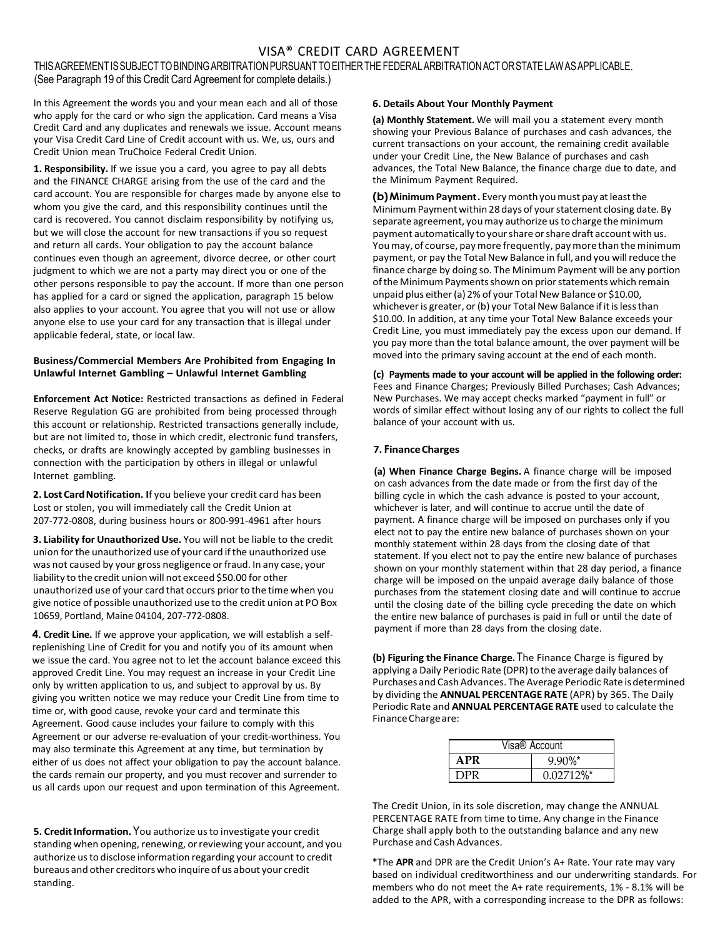## VISA® CREDIT CARD AGREEMENT

## THISAGREEMENTISSUBJECT TOBINDINGARBITRATIONPURSUANTTOEITHERTHEFEDERALARBITRATIONACTORSTATELAWASAPPLICABLE. (See Paragraph 19 of this Credit Card Agreement for complete details.)

In this Agreement the words you and your mean each and all of those who apply for the card or who sign the application. Card means a Visa Credit Card and any duplicates and renewals we issue. Account means your Visa Credit Card Line of Credit account with us. We, us, ours and Credit Union mean TruChoice Federal Credit Union.

**1. Responsibility.** If we issue you a card, you agree to pay all debts and the FINANCE CHARGE arising from the use of the card and the card account. You are responsible for charges made by anyone else to whom you give the card, and this responsibility continues until the card is recovered. You cannot disclaim responsibility by notifying us, but we will close the account for new transactions if you so request and return all cards. Your obligation to pay the account balance continues even though an agreement, divorce decree, or other court judgment to which we are not a party may direct you or one of the other persons responsible to pay the account. If more than one person has applied for a card or signed the application, paragraph 15 below also applies to your account. You agree that you will not use or allow anyone else to use your card for any transaction that is illegal under applicable federal, state, or local law.

#### **Business/Commercial Members Are Prohibited from Engaging In Unlawful Internet Gambling – Unlawful Internet Gambling**

**Enforcement Act Notice:** Restricted transactions as defined in Federal Reserve Regulation GG are prohibited from being processed through this account or relationship. Restricted transactions generally include, but are not limited to, those in which credit, electronic fund transfers, checks, or drafts are knowingly accepted by gambling businesses in connection with the participation by others in illegal or unlawful Internet gambling.

**2. Lost CardNotification. I**f you believe your credit card has been Lost or stolen, you will immediately call the Credit Union at 207-772-0808, during business hours or 800-991-4961 after hours

**3. Liability for UnauthorizedUse.** You will not be liable to the credit union for the unauthorized use of your card if the unauthorized use was not caused by your gross negligence or fraud. In any case, your liability to the credit union will not exceed \$50.00 for other unauthorized use of your card that occurs priorto the time when you give notice of possible unauthorized use to the credit union at PO Box 10659, Portland, Maine 04104, 207-772-0808.

**4. Credit Line.** If we approve your application, we will establish a selfreplenishing Line of Credit for you and notify you of its amount when we issue the card. You agree not to let the account balance exceed this approved Credit Line. You may request an increase in your Credit Line only by written application to us, and subject to approval by us. By giving you written notice we may reduce your Credit Line from time to time or, with good cause, revoke your card and terminate this Agreement. Good cause includes your failure to comply with this Agreement or our adverse re-evaluation of your credit-worthiness. You may also terminate this Agreement at any time, but termination by either of us does not affect your obligation to pay the account balance. the cards remain our property, and you must recover and surrender to us all cards upon our request and upon termination of this Agreement.

**5. Credit Information.** You authorize us to investigate your credit standing when opening, renewing, or reviewing your account, and you authorize us to disclose information regarding your account to credit bureaus and other creditors who inquire of us about your credit standing.

### **6. Details About Your Monthly Payment**

**(a) Monthly Statement.** We will mail you a statement every month showing your Previous Balance of purchases and cash advances, the current transactions on your account, the remaining credit available under your Credit Line, the New Balance of purchases and cash advances, the Total New Balance, the finance charge due to date, and the Minimum Payment Required.

**(b)Minimum Payment**.**.** Everymonthyoumust pay atleastthe Minimum Payment within 28 days of your statement closing date. By separate agreement, you may authorize us to charge the minimum payment automatically to yourshare orshare draft account with us. You may, of course, pay more frequently, pay more than the minimum payment, or pay the Total New Balance in full, and you will reduce the finance charge by doing so. The Minimum Payment will be any portion of the Minimum Payments shown on prior statements which remain unpaid plus either (a) 2% of your Total New Balance or \$10.00, whichever is greater, or (b) your Total New Balance if it is less than \$10.00. In addition, at any time your Total New Balance exceeds your Credit Line, you must immediately pay the excess upon our demand. If you pay more than the total balance amount, the over payment will be moved into the primary saving account at the end of each month.

**(c) Payments made to your account will be applied in the following order:** Fees and Finance Charges; Previously Billed Purchases; Cash Advances; New Purchases. We may accept checks marked "payment in full" or words of similar effect without losing any of our rights to collect the full balance of your account with us.

#### **7. FinanceCharges**

**(a) When Finance Charge Begins.** A finance charge will be imposed on cash advances from the date made or from the first day of the billing cycle in which the cash advance is posted to your account, whichever is later, and will continue to accrue until the date of payment. A finance charge will be imposed on purchases only if you elect not to pay the entire new balance of purchases shown on your monthly statement within 28 days from the closing date of that statement. If you elect not to pay the entire new balance of purchases shown on your monthly statement within that 28 day period, a finance charge will be imposed on the unpaid average daily balance of those purchases from the statement closing date and will continue to accrue until the closing date of the billing cycle preceding the date on which the entire new balance of purchases is paid in full or until the date of payment if more than 28 days from the closing date.

**(b) Figuring the Finance Charge.**The Finance Charge is figured by applying a Daily Periodic Rate (DPR) to the average daily balances of Purchases and Cash Advances. The Average Periodic Rate is determined by dividing the **ANNUAL PERCENTAGE RATE** (APR) by 365. The Daily Periodic Rate and **ANNUAL PERCENTAGE RATE** used to calculate the FinanceChargeare:

| Visa <sup>®</sup> Account |               |  |  |  |  |
|---------------------------|---------------|--|--|--|--|
| APK                       | $9.90\%$ *    |  |  |  |  |
| DPR.                      | $0.02712\%$ * |  |  |  |  |

The Credit Union, in its sole discretion, may change the ANNUAL PERCENTAGE RATE from time to time. Any change in the Finance Charge shall apply both to the outstanding balance and any new Purchase andCashAdvances.

\*The **APR** and DPR are the Credit Union's A+ Rate. Your rate may vary based on individual creditworthiness and our underwriting standards. For members who do not meet the A+ rate requirements, 1% - 8.1% will be added to the APR, with a corresponding increase to the DPR as follows: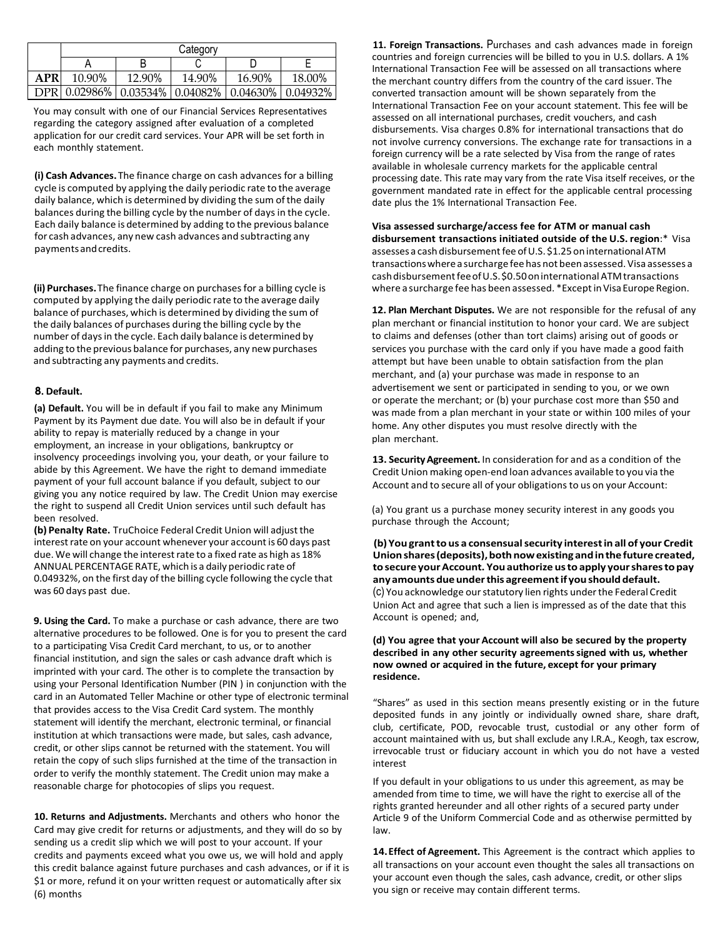|            | Category |                               |        |                      |        |  |  |  |  |
|------------|----------|-------------------------------|--------|----------------------|--------|--|--|--|--|
|            |          |                               |        |                      |        |  |  |  |  |
| APR        | 10.90%   | 12.90%                        | 14.90% | 16.90%               | 18.00% |  |  |  |  |
| <b>DPR</b> |          | $0.02986\%$ 0.03534% 0.04082% |        | $0.04630\%$ 0.04932% |        |  |  |  |  |

You may consult with one of our Financial Services Representatives regarding the category assigned after evaluation of a completed application for our credit card services. Your APR will be set forth in each monthly statement.

**(i) Cash Advances.**The finance charge on cash advances for a billing cycle is computed by applying the daily periodic rate to the average daily balance, which is determined by dividing the sum of the daily balances during the billing cycle by the number of days in the cycle. Each daily balance is determined by adding to the previous balance for cash advances, any new cash advances and subtracting any paymentsandcredits.

**(ii)Purchases.**The finance charge on purchasesfor a billing cycle is computed by applying the daily periodic rate to the average daily balance of purchases, which is determined by dividing the sum of the daily balances of purchases during the billing cycle by the number of daysin the cycle. Each daily balance is determined by adding to the previous balance for purchases, any new purchases and subtracting any payments and credits.

#### **8. Default.**

**(a) Default.** You will be in default if you fail to make any Minimum Payment by its Payment due date. You will also be in default if your ability to repay is materially reduced by a change in your employment, an increase in your obligations, bankruptcy or insolvency proceedings involving you, your death, or your failure to abide by this Agreement. We have the right to demand immediate payment of your full account balance if you default, subject to our giving you any notice required by law. The Credit Union may exercise the right to suspend all Credit Union services until such default has been resolved.

**(b) Penalty Rate.** TruChoice Federal Credit Union will adjust the interest rate on your account whenever your account is 60 days past due. We will change the interest rate to a fixed rate as high as 18% ANNUAL PERCENTAGE RATE,which is a daily periodic rate of 0.04932%, on the first day of the billing cycle following the cycle that was 60 days past due.

**9. Using the Card.** To make a purchase or cash advance, there are two alternative procedures to be followed. One is for you to present the card to a participating Visa Credit Card merchant, to us, or to another financial institution, and sign the sales or cash advance draft which is imprinted with your card. The other is to complete the transaction by using your Personal Identification Number (PIN ) in conjunction with the card in an Automated Teller Machine or other type of electronic terminal that provides access to the Visa Credit Card system. The monthly statement will identify the merchant, electronic terminal, or financial institution at which transactions were made, but sales, cash advance, credit, or other slips cannot be returned with the statement. You will retain the copy of such slips furnished at the time of the transaction in order to verify the monthly statement. The Credit union may make a reasonable charge for photocopies of slips you request.

**10. Returns and Adjustments.** Merchants and others who honor the Card may give credit for returns or adjustments, and they will do so by sending us a credit slip which we will post to your account. If your credits and payments exceed what you owe us, we will hold and apply this credit balance against future purchases and cash advances, or if it is \$1 or more, refund it on your written request or automatically after six (6) months

**11. Foreign Transactions.** Purchases and cash advances made in foreign countries and foreign currencies will be billed to you in U.S. dollars. A 1% International Transaction Fee will be assessed on all transactions where the merchant country differs from the country of the card issuer. The converted transaction amount will be shown separately from the International Transaction Fee on your account statement. This fee will be assessed on all international purchases, credit vouchers, and cash disbursements. Visa charges 0.8% for international transactions that do not involve currency conversions. The exchange rate for transactions in a foreign currency will be a rate selected by Visa from the range of rates available in wholesale currency markets for the applicable central processing date. This rate may vary from the rate Visa itself receives, or the government mandated rate in effect for the applicable central processing date plus the 1% International Transaction Fee.

**Visa assessed surcharge/access fee for ATM or manual cash disbursement transactions initiated outside of the U.S. region**:\* Visa assesses a cash disbursement fee of U.S. \$1.25 on international ATM transactionswherea surcharge feehasnot beenassessed.Visa assesses a cashdisbursementfeeofU.S.\$0.50oninternationalATMtransactions where a surcharge fee has been assessed. \*Except in Visa Europe Region.

**12. Plan Merchant Disputes.** We are not responsible for the refusal of any plan merchant or financial institution to honor your card. We are subject to claims and defenses (other than tort claims) arising out of goods or services you purchase with the card only if you have made a good faith attempt but have been unable to obtain satisfaction from the plan merchant, and (a) your purchase was made in response to an advertisement we sent or participated in sending to you, or we own or operate the merchant; or (b) your purchase cost more than \$50 and was made from a plan merchant in your state or within 100 miles of your home. Any other disputes you must resolve directly with the plan merchant.

**13. SecurityAgreement.** In consideration for and as a condition of the Credit Union making open-end loan advances available to you via the Account and to secure all of your obligations to us on your Account:

(a) You grant us a purchase money security interest in any goods you purchase through the Account;

**(b) You grantto us a consensualsecurity interestin all of your Credit Unionshares(deposits),bothnowexisting andinthefuture created, tosecure yourAccount. Youauthorize usto apply yoursharesto pay anyamounts dueunderthis agreementif youshoulddefault.** (c) You acknowledge ourstatutory lien rights underthe Federal Credit Union Act and agree that such a lien is impressed as of the date that this Account is opened; and,

**(d) You agree that your Account will also be secured by the property described in any other security agreementssigned with us, whether now owned or acquired in the future, except for your primary residence.**

"Shares" as used in this section means presently existing or in the future deposited funds in any jointly or individually owned share, share draft, club, certificate, POD, revocable trust, custodial or any other form of account maintained with us, but shall exclude any I.R.A., Keogh, tax escrow, irrevocable trust or fiduciary account in which you do not have a vested interest

If you default in your obligations to us under this agreement, as may be amended from time to time, we will have the right to exercise all of the rights granted hereunder and all other rights of a secured party under Article 9 of the Uniform Commercial Code and as otherwise permitted by law.

**14.Effect of Agreement.** This Agreement is the contract which applies to all transactions on your account even thought the sales all transactions on your account even though the sales, cash advance, credit, or other slips you sign or receive may contain different terms.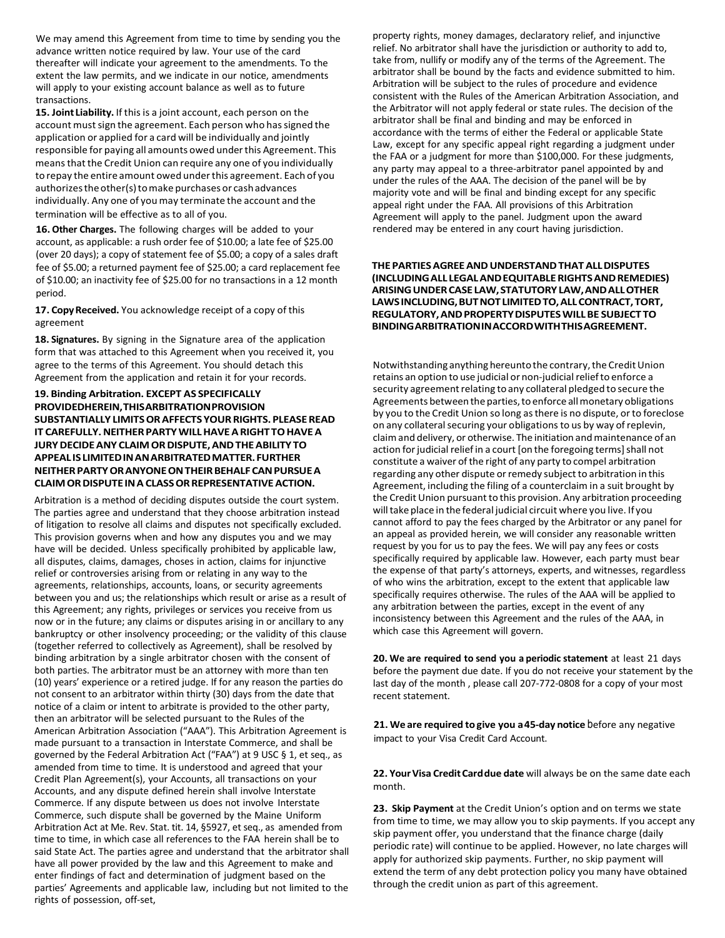We may amend this Agreement from time to time by sending you the advance written notice required by law. Your use of the card thereafter will indicate your agreement to the amendments. To the extent the law permits, and we indicate in our notice, amendments will apply to your existing account balance as well as to future transactions.

**15. Joint Liability.** If this is a joint account, each person on the account must sign the agreement. Each person who has signed the application or applied for a card will be individually and jointly responsible for paying all amounts owed underthis Agreement. This means that the Credit Union can require any one of you individually to repay the entire amount owed underthis agreement. Each of you authorizes the other(s) to make purchases or cash advances individually. Any one of you may terminate the account and the termination will be effective as to all of you.

**16.Other Charges.** The following charges will be added to your account, as applicable: a rush order fee of \$10.00; a late fee of \$25.00 (over 20 days); a copy of statement fee of \$5.00; a copy of a sales draft fee of \$5.00; a returned payment fee of \$25.00; a card replacement fee of \$10.00; an inactivity fee of \$25.00 for no transactions in a 12 month period.

**17. CopyReceived.** You acknowledge receipt of a copy of this agreement

**18. Signatures.** By signing in the Signature area of the application form that was attached to this Agreement when you received it, you agree to the terms of this Agreement. You should detach this Agreement from the application and retain it for your records.

#### **19. Binding Arbitration. EXCEPT AS SPECIFICALLY PROVIDEDHEREIN,THISARBITRATIONPROVISION SUBSTANTIALLY LIMITSORAFFECTS YOURRIGHTS.PLEASEREAD IT CAREFULLY. NEITHER PARTY WILL HAVE A RIGHT TO HAVE A JURYDECIDEANY CLAIMORDISPUTE,ANDTHEABILITY TO APPEAL ISLIMITEDINANARBITRATEDMATTER.FURTHER NEITHERPARTYORANYONEONTHEIRBEHALFCANPURSUEA CLAIMORDISPUTEINACLASSORREPRESENTATIVEACTION.**

Arbitration is a method of deciding disputes outside the court system. The parties agree and understand that they choose arbitration instead of litigation to resolve all claims and disputes not specifically excluded. This provision governs when and how any disputes you and we may have will be decided. Unless specifically prohibited by applicable law, all disputes, claims, damages, choses in action, claims for injunctive relief or controversies arising from or relating in any way to the agreements, relationships, accounts, loans, or security agreements between you and us; the relationships which result or arise as a result of this Agreement; any rights, privileges or services you receive from us now or in the future; any claims or disputes arising in or ancillary to any bankruptcy or other insolvency proceeding; or the validity of this clause (together referred to collectively as Agreement), shall be resolved by binding arbitration by a single arbitrator chosen with the consent of both parties. The arbitrator must be an attorney with more than ten (10) years' experience or a retired judge. If for any reason the parties do not consent to an arbitrator within thirty (30) days from the date that notice of a claim or intent to arbitrate is provided to the other party, then an arbitrator will be selected pursuant to the Rules of the American Arbitration Association ("AAA"). This Arbitration Agreement is made pursuant to a transaction in Interstate Commerce, and shall be governed by the Federal Arbitration Act ("FAA") at 9 USC § 1, et seq., as amended from time to time. It is understood and agreed that your Credit Plan Agreement(s), your Accounts, all transactions on your Accounts, and any dispute defined herein shall involve Interstate Commerce. If any dispute between us does not involve Interstate Commerce, such dispute shall be governed by the Maine Uniform Arbitration Act at Me. Rev. Stat. tit. 14, §5927, et seq., as amended from time to time, in which case all references to the FAA herein shall be to said State Act. The parties agree and understand that the arbitrator shall have all power provided by the law and this Agreement to make and enter findings of fact and determination of judgment based on the parties' Agreements and applicable law, including but not limited to the rights of possession, off-set,

property rights, money damages, declaratory relief, and injunctive relief. No arbitrator shall have the jurisdiction or authority to add to, take from, nullify or modify any of the terms of the Agreement. The arbitrator shall be bound by the facts and evidence submitted to him. Arbitration will be subject to the rules of procedure and evidence consistent with the Rules of the American Arbitration Association, and the Arbitrator will not apply federal or state rules. The decision of the arbitrator shall be final and binding and may be enforced in accordance with the terms of either the Federal or applicable State Law, except for any specific appeal right regarding a judgment under the FAA or a judgment for more than \$100,000. For these judgments, any party may appeal to a three-arbitrator panel appointed by and under the rules of the AAA. The decision of the panel will be by majority vote and will be final and binding except for any specific appeal right under the FAA. All provisions of this Arbitration Agreement will apply to the panel. Judgment upon the award rendered may be entered in any court having jurisdiction.

#### **THEPARTIESAGREEANDUNDERSTANDTHATALLDISPUTES (INCLUDINGALL LEGALANDEQUITABLERIGHTSANDREMEDIES) ARISINGUNDERCASELAW,STATUTORYLAW,ANDALLOTHER LAWSINCLUDING,BUTNOTLIMITEDTO,ALLCONTRACT,TORT, REGULATORY,ANDPROPERTYDISPUTESWILLBE SUBJECT TO BINDINGARBITRATIONINACCORDWITHTHISAGREEMENT.**

Notwithstanding anything hereunto the contrary, the Credit Union retains an option to use judicial or non-judicial relief to enforce a security agreement relating to any collateral pledged to secure the Agreements between the parties, to enforce all monetary obligations by you to the Credit Union so long as there is no dispute, or to foreclose on any collateral securing your obligations to us by way of replevin, claim and delivery, or otherwise. The initiation and maintenance of an action for judicial relief in a court [on the foregoing terms] shall not constitute a waiver of the right of any party to compel arbitration regarding any other dispute or remedy subject to arbitration in this Agreement, including the filing of a counterclaim in a suit brought by the Credit Union pursuant to this provision. Any arbitration proceeding will take place in the federal judicial circuit where you live. If you cannot afford to pay the fees charged by the Arbitrator or any panel for an appeal as provided herein, we will consider any reasonable written request by you for us to pay the fees. We will pay any fees or costs specifically required by applicable law. However, each party must bear the expense of that party's attorneys, experts, and witnesses, regardless of who wins the arbitration, except to the extent that applicable law specifically requires otherwise. The rules of the AAA will be applied to any arbitration between the parties, except in the event of any inconsistency between this Agreement and the rules of the AAA, in which case this Agreement will govern.

**20. We are required to send you a periodic statement** at least 21 days before the payment due date. If you do not receive your statement by the last day of the month , please call 207-772-0808 for a copy of your most recent statement.

**21. We are required to give you a45-day notice** before any negative impact to your Visa Credit Card Account.

**22. YourVisa CreditCarddue date** will always be on the same date each month.

**23. Skip Payment** at the Credit Union's option and on terms we state from time to time, we may allow you to skip payments. If you accept any skip payment offer, you understand that the finance charge (daily periodic rate) will continue to be applied. However, no late charges will apply for authorized skip payments. Further, no skip payment will extend the term of any debt protection policy you many have obtained through the credit union as part of this agreement.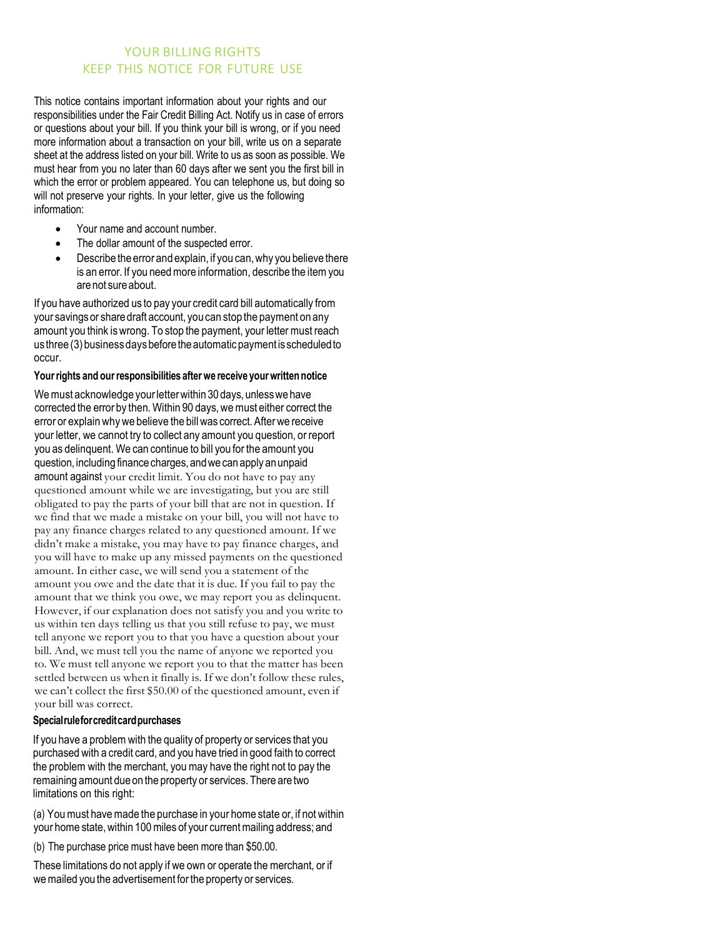# YOUR BILLING RIGHTS KEEP THIS NOTICE FOR FUTURE USE

This notice contains important information about your rights and our responsibilities under the Fair Credit Billing Act. Notify us in case of errors or questions about your bill. If you think your bill is wrong, or if you need more information about a transaction on your bill, write us on a separate sheet at the address listed on your bill. Write to us as soon as possible. We must hear from you no later than 60 days after we sent you the first bill in which the error or problem appeared. You can telephone us, but doing so will not preserve your rights. In your letter, give us the following information:

- Your name and account number.
- The dollar amount of the suspected error.
- Describe the error and explain, if you can,why you believe there is an error. If you needmore information, describe the itemyou arenot sure about.

If you have authorized us to pay your credit card bill automatically from your savings or sharedraft account, you can stop the payment on any amount you think is wrong. To stop the payment, your letter must reach us three (3) business days before the automatic payment is scheduled to occur.

## **Yourrights and ourresponsibilities afterwe receive yourwritten notice**

Wemust acknowledge yourletterwithin 30 days, unlesswe have corrected the error by then. Within 90 days, we must either correct the error or explain why we believe the bill was correct. After we receive your letter, we cannot try to collect any amount you question, or report you as delinquent. We can continue to bill you for the amount you question, including finance charges, and we can apply an unpaid amount against your credit limit. You do not have to pay any questioned amount while we are investigating, but you are still obligated to pay the parts of your bill that are not in question. If we find that we made a mistake on your bill, you will not have to pay any finance charges related to any questioned amount. If we didn't make a mistake, you may have to pay finance charges, and you will have to make up any missed payments on the questioned amount. In either case, we will send you a statement of the amount you owe and the date that it is due. If you fail to pay the amount that we think you owe, we may report you as delinquent. However, if our explanation does not satisfy you and you write to us within ten days telling us that you still refuse to pay, we must tell anyone we report you to that you have a question about your bill. And, we must tell you the name of anyone we reported you to. We must tell anyone we report you to that the matter has been settled between us when it finally is. If we don't follow these rules, we can't collect the first \$50.00 of the questioned amount, even if your bill was correct.

## **Specialruleforcreditcardpurchases**

If you have a problem with the quality of property or services that you purchased with a credit card, and you have tried in good faith to correct the problem with the merchant, you may have the right not to pay the remaining amount due on the property or services.There are two limitations on this right:

(a) Youmust havemade the purchase in your home state or, if not within your home state, within 100 miles of your current mailing address; and

(b) The purchase price must have been more than \$50.00.

These limitations do not apply if we own or operate the merchant, or if we mailed you the advertisement for the property or services.